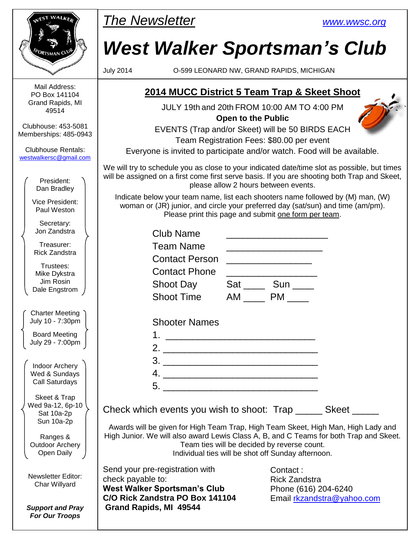| <b>IEST WALKEN</b>                                  | <b>The Newsletter</b>                                                                                                                                                                                                      |                                                                                                                                                                                              |  | <b>WWW.WWSC.Org</b>                                      |  |  |
|-----------------------------------------------------|----------------------------------------------------------------------------------------------------------------------------------------------------------------------------------------------------------------------------|----------------------------------------------------------------------------------------------------------------------------------------------------------------------------------------------|--|----------------------------------------------------------|--|--|
| ORTSMAN C                                           |                                                                                                                                                                                                                            | <b>West Walker Sportsman's Club</b>                                                                                                                                                          |  |                                                          |  |  |
|                                                     | <b>July 2014</b>                                                                                                                                                                                                           |                                                                                                                                                                                              |  | O-599 LEONARD NW, GRAND RAPIDS, MICHIGAN                 |  |  |
| Mail Address:<br>PO Box 141104                      | 2014 MUCC District 5 Team Trap & Skeet Shoot                                                                                                                                                                               |                                                                                                                                                                                              |  |                                                          |  |  |
| Grand Rapids, MI<br>49514                           | JULY 19th and 20th FROM 10:00 AM TO 4:00 PM                                                                                                                                                                                |                                                                                                                                                                                              |  |                                                          |  |  |
| Clubhouse: 453-5081<br>Memberships: 485-0943        | <b>Open to the Public</b><br>EVENTS (Trap and/or Skeet) will be 50 BIRDS EACH<br>Team Registration Fees: \$80.00 per event                                                                                                 |                                                                                                                                                                                              |  |                                                          |  |  |
| <b>Clubhouse Rentals:</b><br>westwalkersc@gmail.com | Everyone is invited to participate and/or watch. Food will be available.                                                                                                                                                   |                                                                                                                                                                                              |  |                                                          |  |  |
| President:<br>Dan Bradley                           |                                                                                                                                                                                                                            | We will try to schedule you as close to your indicated date/time slot as possible, but times<br>will be assigned on a first come first serve basis. If you are shooting both Trap and Skeet, |  |                                                          |  |  |
| Vice President:<br>Paul Weston                      | Indicate below your team name, list each shooters name followed by (M) man, (W)<br>woman or (JR) junior, and circle your preferred day (sat/sun) and time (am/pm).<br>Please print this page and submit one form per team. |                                                                                                                                                                                              |  |                                                          |  |  |
| Secretary:<br>Jon Zandstra                          |                                                                                                                                                                                                                            | <b>Club Name</b>                                                                                                                                                                             |  |                                                          |  |  |
| Treasurer:<br><b>Rick Zandstra</b>                  |                                                                                                                                                                                                                            | <b>Team Name</b>                                                                                                                                                                             |  |                                                          |  |  |
| Trustees:                                           |                                                                                                                                                                                                                            | <b>Contact Person</b><br><b>Contact Phone</b>                                                                                                                                                |  |                                                          |  |  |
| Mike Dykstra<br>Jim Rosin<br>Dale Engstrom          |                                                                                                                                                                                                                            | Shoot Day                                                                                                                                                                                    |  | Sat ______ Sun _____                                     |  |  |
|                                                     |                                                                                                                                                                                                                            | <b>Shoot Time</b>                                                                                                                                                                            |  | AM PM                                                    |  |  |
| Charter Meeting<br>July 10 - 7:30pm                 |                                                                                                                                                                                                                            | <b>Shooter Names</b>                                                                                                                                                                         |  |                                                          |  |  |
| <b>Board Meeting</b>                                |                                                                                                                                                                                                                            |                                                                                                                                                                                              |  |                                                          |  |  |
| July 29 - 7:00pm                                    |                                                                                                                                                                                                                            |                                                                                                                                                                                              |  |                                                          |  |  |
| <b>Indoor Archery</b>                               |                                                                                                                                                                                                                            | $\begin{array}{c}\n3. \quad \textcolor{blue}{\overline{\qquad \qquad }}\n\end{array}$                                                                                                        |  |                                                          |  |  |
| Wed & Sundays<br><b>Call Saturdays</b>              |                                                                                                                                                                                                                            | $4. \_$                                                                                                                                                                                      |  |                                                          |  |  |
| Skeet & Trap<br>Wed 9a-12, 6p-10<br>Sat 10a-2p      |                                                                                                                                                                                                                            | Check which events you wish to shoot: Trap _______ Skeet ______                                                                                                                              |  |                                                          |  |  |
| Sun 10a-2p<br>Ranges &<br><b>Outdoor Archery</b>    | Awards will be given for High Team Trap, High Team Skeet, High Man, High Lady and<br>High Junior. We will also award Lewis Class A, B, and C Teams for both Trap and Skeet.<br>Team ties will be decided by reverse count. |                                                                                                                                                                                              |  |                                                          |  |  |
| Open Daily                                          | Individual ties will be shot off Sunday afternoon.                                                                                                                                                                         |                                                                                                                                                                                              |  |                                                          |  |  |
| <b>Newsletter Editor:</b><br>Char Willyard          | Send your pre-registration with<br>check payable to:<br><b>West Walker Sportsman's Club</b>                                                                                                                                |                                                                                                                                                                                              |  | Contact:<br><b>Rick Zandstra</b><br>Phone (616) 204-6240 |  |  |
| <b>Support and Pray</b><br><b>For Our Troops</b>    |                                                                                                                                                                                                                            | C/O Rick Zandstra PO Box 141104<br>Grand Rapids, MI 49544                                                                                                                                    |  | Email rkzandstra@yahoo.com                               |  |  |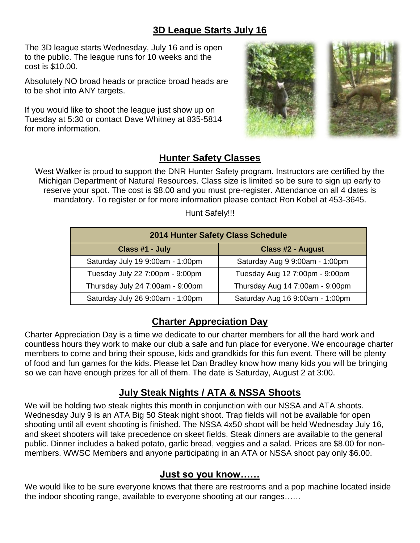#### **3D League Starts July 16**

The 3D league starts Wednesday, July 16 and is open to the public. The league runs for 10 weeks and the cost is \$10.00.

Absolutely NO broad heads or practice broad heads are to be shot into ANY targets.

If you would like to shoot the league just show up on Tuesday at 5:30 or contact Dave Whitney at 835-5814 for more information.



#### **Hunter Safety Classes**

West Walker is proud to support the DNR Hunter Safety program. Instructors are certified by the Michigan Department of Natural Resources. Class size is limited so be sure to sign up early to reserve your spot. The cost is \$8.00 and you must pre-register. Attendance on all 4 dates is mandatory. To register or for more information please contact Ron Kobel at 453-3645.

Hunt Safely!!!

| 2014 Hunter Safety Class Schedule |                                 |  |  |  |  |
|-----------------------------------|---------------------------------|--|--|--|--|
| Class #1 - July                   | <b>Class #2 - August</b>        |  |  |  |  |
| Saturday July 19 9:00am - 1:00pm  | Saturday Aug 9 9:00am - 1:00pm  |  |  |  |  |
| Tuesday July 22 7:00pm - 9:00pm   | Tuesday Aug 12 7:00pm - 9:00pm  |  |  |  |  |
| Thursday July 24 7:00am - 9:00pm  | Thursday Aug 14 7:00am - 9:00pm |  |  |  |  |
| Saturday July 26 9:00am - 1:00pm  | Saturday Aug 16 9:00am - 1:00pm |  |  |  |  |

#### **Charter Appreciation Day**

Charter Appreciation Day is a time we dedicate to our charter members for all the hard work and countless hours they work to make our club a safe and fun place for everyone. We encourage charter members to come and bring their spouse, kids and grandkids for this fun event. There will be plenty of food and fun games for the kids. Please let Dan Bradley know how many kids you will be bringing so we can have enough prizes for all of them. The date is Saturday, August 2 at 3:00.

#### **July Steak Nights / ATA & NSSA Shoots**

We will be holding two steak nights this month in conjunction with our NSSA and ATA shoots. Wednesday July 9 is an ATA Big 50 Steak night shoot. Trap fields will not be available for open shooting until all event shooting is finished. The NSSA 4x50 shoot will be held Wednesday July 16, and skeet shooters will take precedence on skeet fields. Steak dinners are available to the general public. Dinner includes a baked potato, garlic bread, veggies and a salad. Prices are \$8.00 for nonmembers. WWSC Members and anyone participating in an ATA or NSSA shoot pay only \$6.00.

#### **Just so you know……**

We would like to be sure everyone knows that there are restrooms and a pop machine located inside the indoor shooting range, available to everyone shooting at our ranges……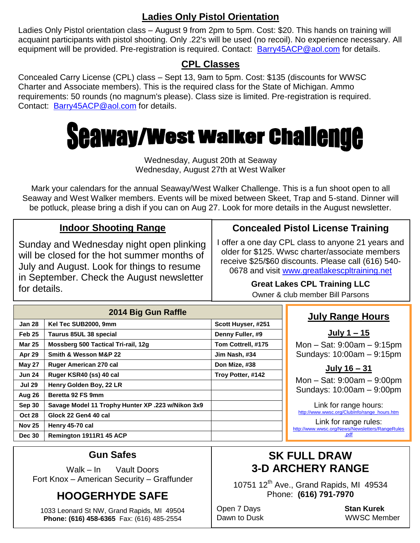#### **Ladies Only Pistol Orientation**

Ladies Only Pistol orientation class – August 9 from 2pm to 5pm. Cost: \$20. This hands on training will acquaint participants with pistol shooting. Only .22's will be used (no recoil). No experience necessary. All equipment will be provided. Pre-registration is required. Contact: [Barry45ACP@aol.com](mailto:Barry45ACP@aol.com) for details.

#### **CPL Classes**

Concealed Carry License (CPL) class – Sept 13, 9am to 5pm. Cost: \$135 (discounts for WWSC Charter and Associate members). This is the required class for the State of Michigan. Ammo requirements: 50 rounds (no magnum's please). Class size is limited. Pre-registration is required. Contact: [Barry45ACP@aol.com](mailto:Barry45ACP@aol.com) for details.

# **Seaway/West Walker Challenge**

#### Wednesday, August 20th at Seaway Wednesday, August 27th at West Walker

Mark your calendars for the annual Seaway/West Walker Challenge. This is a fun shoot open to all Seaway and West Walker members. Events will be mixed between Skeet, Trap and 5-stand. Dinner will be potluck, please bring a dish if you can on Aug 27. Look for more details in the August newsletter.

#### **Indoor Shooting Range**

Sunday and Wednesday night open plinking will be closed for the hot summer months of July and August. Look for things to resume in September. Check the August newsletter for details.

#### **Concealed Pistol License Training**

I offer a one day CPL class to anyone 21 years and older for \$125. Wwsc charter/associate members receive \$25/\$60 discounts. Please call (616) 540 0678 and visit [www.greatlakescpltraining.net](http://www.greatlakescpltraining.net/)

# **Great Lakes CPL Training LLC**

|  | Owner & club member Bill Parsons |  |
|--|----------------------------------|--|
|  |                                  |  |

|               | 2014 Big Gun Raffle                               |                    |  |  |
|---------------|---------------------------------------------------|--------------------|--|--|
| <b>Jan 28</b> | Kel Tec SUB2000, 9mm                              | Scott Huyser, #251 |  |  |
| <b>Feb 25</b> | Taurus 85UL 38 special                            | Denny Fuller, #9   |  |  |
| <b>Mar 25</b> | Mossberg 500 Tactical Tri-rail, 12g               | Tom Cottrell, #175 |  |  |
| Apr 29        | Smith & Wesson M&P 22                             | Jim Nash, #34      |  |  |
| <b>May 27</b> | Ruger American 270 cal                            | Don Mize, #38      |  |  |
| <b>Jun 24</b> | Ruger KSR40 (ss) 40 cal                           | Troy Potter, #142  |  |  |
| <b>Jul 29</b> | Henry Golden Boy, 22 LR                           |                    |  |  |
| Aug 26        | Beretta 92 FS 9mm                                 |                    |  |  |
| Sep 30        | Savage Model 11 Trophy Hunter XP .223 w/Nikon 3x9 |                    |  |  |
| <b>Oct 28</b> | Glock 22 Gen4 40 cal                              |                    |  |  |
| <b>Nov 25</b> | Henry 45-70 cal                                   |                    |  |  |
| <b>Dec 30</b> | Remington 1911R1 45 ACP                           |                    |  |  |

#### **July Range Hours**

**July 1 – 15**

Mon – Sat: 9:00am – 9:15pm Sundays: 10:00am – 9:15pm

#### **July 16 – 31**

Mon – Sat: 9:00am – 9:00pm Sundays: 10:00am – 9:00pm

Link for range hours: [http://www.wwsc.org/ClubInfo/range\\_hours.htm](http://www.wwsc.org/ClubInfo/range_hours.htm)

Link for range rules: [http://www.wwsc.org/News/Newsletters/RangeRules](http://www.wwsc.org/News/Newsletters/RangeRules.pdf) [.pdf](http://www.wwsc.org/News/Newsletters/RangeRules.pdf)

#### **Gun Safes**

Walk – In Vault Doors Fort Knox – American Security – Graffunder

## **HOOGERHYDE SAFE**

1033 Leonard St NW, Grand Rapids, MI 49504 **Phone: (616) 458-6365** Fax: (616) 485-2554

## **SK FULL DRAW 3-D ARCHERY RANGE**

10751  $12^{th}$  Ave., Grand Rapids, MI 49534 Phone: **(616) 791-7970**

Open 7 Days **Stan Kurek**

Dawn to Dusk WWSC Member